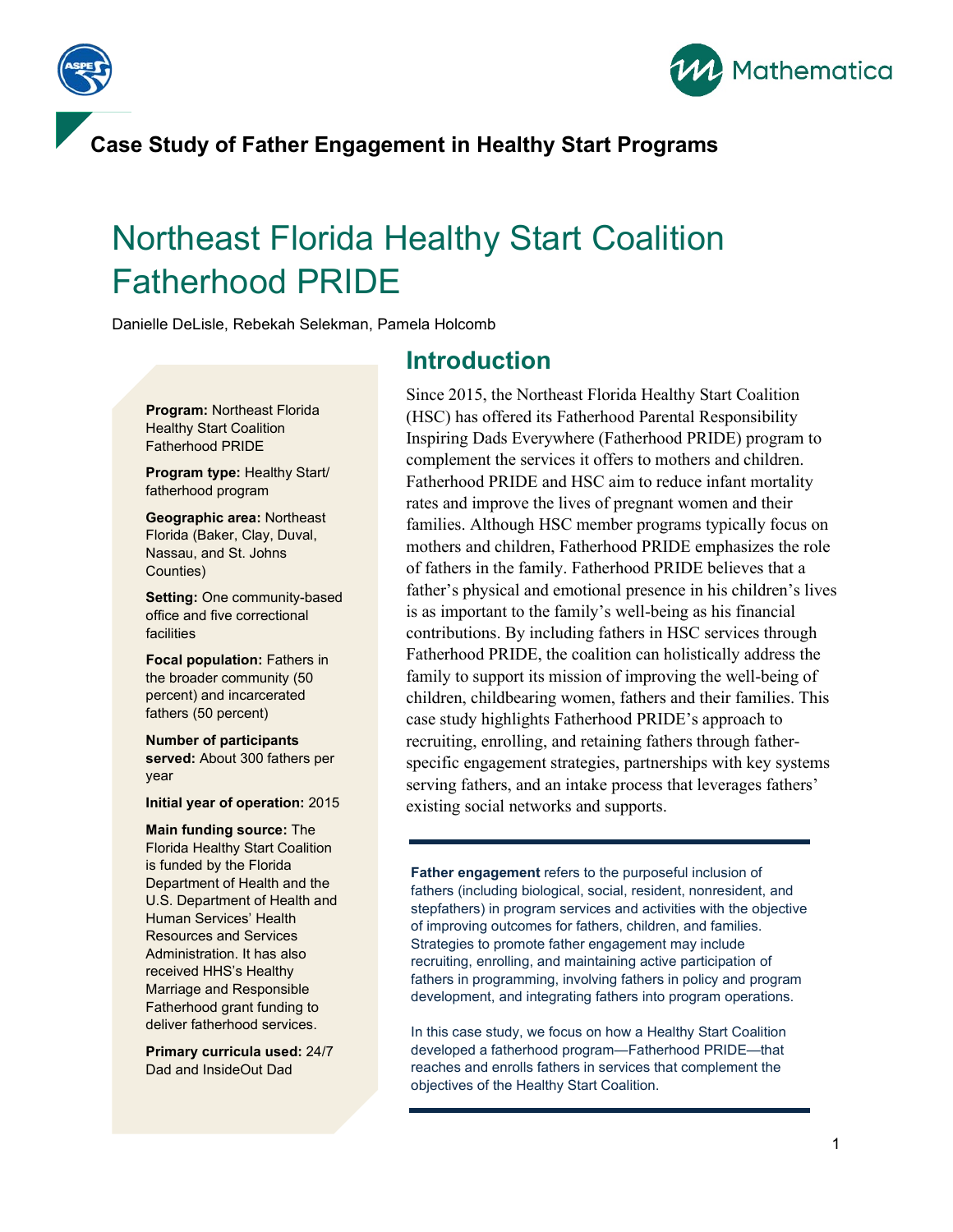



## Northeast Florida Healthy Start Coalition Fatherhood PRIDE

Danielle DeLisle, Rebekah Selekman, Pamela Holcomb

# **Introduction**

**Program:** Northeast Florida Healthy Start Coalition Fatherhood PRIDE

**Program type:** Healthy Start/ fatherhood program

**Geographic area:** Northeast Florida (Baker, Clay, Duval, Nassau, and St. Johns Counties)

**Setting:** One community-based office and five correctional facilities

**Focal population: Fathers in** the broader community (50 percent) and incarcerated fathers (50 percent)

**Number of participants served:** About 300 fathers per year

**Initial year of operation:** 2015

**Main funding source:** The Florida Healthy Start Coalition is funded by the Florida Department of Health and the U.S. Department of Health and Human Services' Health Resources and Services Administration. It has also received HHS's Healthy Marriage and Responsible Fatherhood grant funding to deliver fatherhood services.

**Primary curricula used:** 24/7 Dad and InsideOut Dad

Since 2015, the Northeast Florida Healthy Start Coalition (HSC) has offered its Fatherhood Parental Responsibility Inspiring Dads Everywhere (Fatherhood PRIDE) program to complement the services it offers to mothers and children. Fatherhood PRIDE and HSC aim to reduce infant mortality rates and improve the lives of pregnant women and their families. Although HSC member programs typically focus on mothers and children, Fatherhood PRIDE emphasizes the role of fathers in the family. Fatherhood PRIDE believes that a father's physical and emotional presence in his children's lives is as important to the family's well-being as his financial contributions. By including fathers in HSC services through Fatherhood PRIDE, the coalition can holistically address the family to support its mission of improving the well-being of children, childbearing women, fathers and their families. This case study highlights Fatherhood PRIDE's approach to recruiting, enrolling, and retaining fathers through fatherspecific engagement strategies, partnerships with key systems serving fathers, and an intake process that leverages fathers' existing social networks and supports.

**Father engagement** refers to the purposeful inclusion of fathers (including biological, social, resident, nonresident, and stepfathers) in program services and activities with the objective of improving outcomes for fathers, children, and families. Strategies to promote father engagement may include recruiting, enrolling, and maintaining active participation of fathers in programming, involving fathers in policy and program development, and integrating fathers into program operations.

In this case study, we focus on how a Healthy Start Coalition developed a fatherhood program—Fatherhood PRIDE—that reaches and enrolls fathers in services that complement the objectives of the Healthy Start Coalition.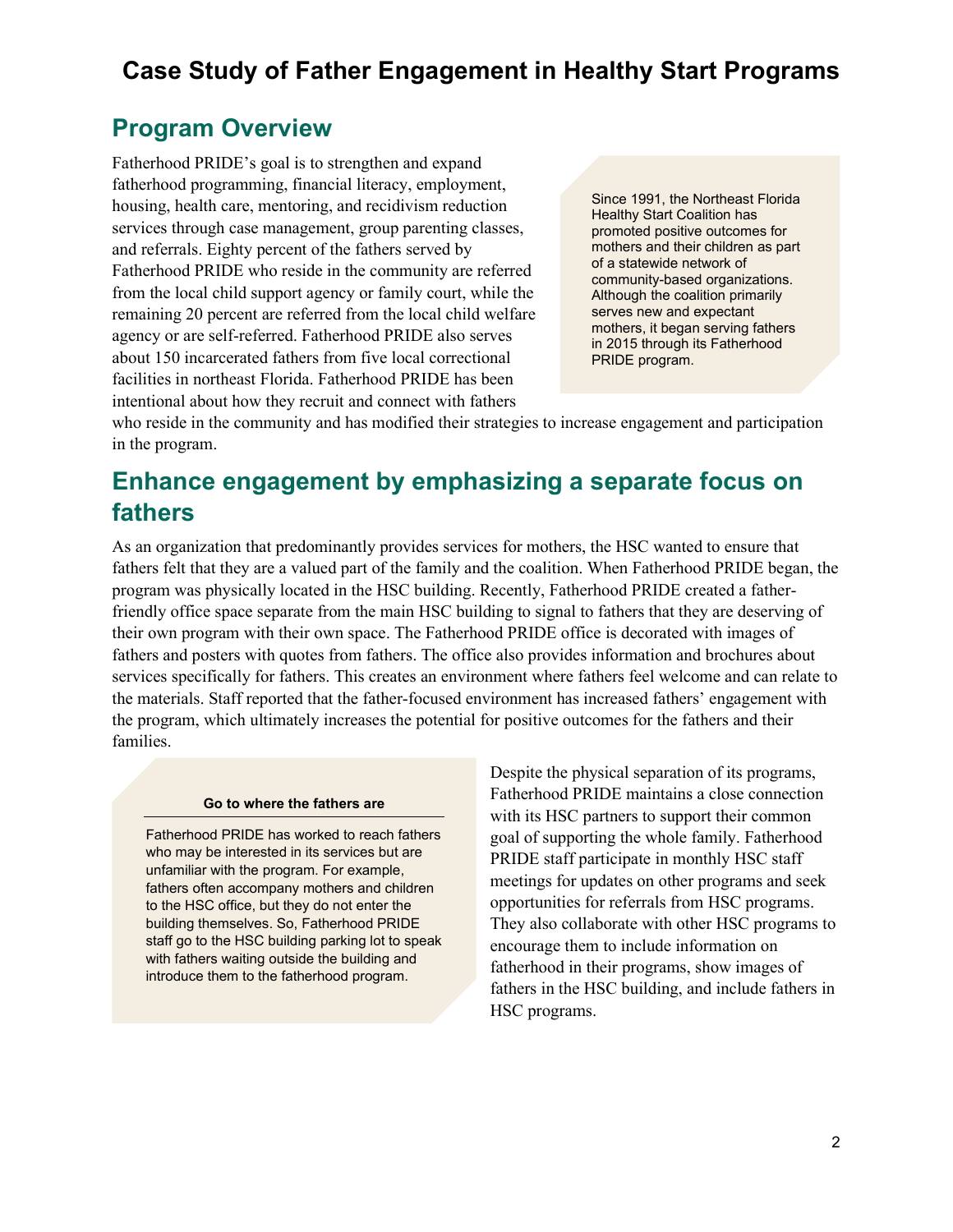#### **Program Overview**

Fatherhood PRIDE's goal is to strengthen and expand fatherhood programming, financial literacy, employment, housing, health care, mentoring, and recidivism reduction services through case management, group parenting classes, and referrals. Eighty percent of the fathers served by Fatherhood PRIDE who reside in the community are referred from the local child support agency or family court, while the remaining 20 percent are referred from the local child welfare agency or are self-referred. Fatherhood PRIDE also serves about 150 incarcerated fathers from five local correctional facilities in northeast Florida. Fatherhood PRIDE has been intentional about how they recruit and connect with fathers

Since 1991, the Northeast Florida Healthy Start Coalition has promoted positive outcomes for mothers and their children as part of a statewide network of community-based organizations. Although the coalition primarily serves new and expectant mothers, it began serving fathers in 2015 through its Fatherhood PRIDE program.

who reside in the community and has modified their strategies to increase engagement and participation in the program.

### **Enhance engagement by emphasizing a separate focus on fathers**

As an organization that predominantly provides services for mothers, the HSC wanted to ensure that fathers felt that they are a valued part of the family and the coalition. When Fatherhood PRIDE began, the program was physically located in the HSC building. Recently, Fatherhood PRIDE created a fatherfriendly office space separate from the main HSC building to signal to fathers that they are deserving of their own program with their own space. The Fatherhood PRIDE office is decorated with images of fathers and posters with quotes from fathers. The office also provides information and brochures about services specifically for fathers. This creates an environment where fathers feel welcome and can relate to the materials. Staff reported that the father-focused environment has increased fathers' engagement with the program, which ultimately increases the potential for positive outcomes for the fathers and their families.

#### **Go to where the fathers are**

Fatherhood PRIDE has worked to reach fathers who may be interested in its services but are unfamiliar with the program. For example, fathers often accompany mothers and children to the HSC office, but they do not enter the building themselves. So, Fatherhood PRIDE staff go to the HSC building parking lot to speak with fathers waiting outside the building and introduce them to the fatherhood program.

Despite the physical separation of its programs, Fatherhood PRIDE maintains a close connection with its HSC partners to support their common goal of supporting the whole family. Fatherhood PRIDE staff participate in monthly HSC staff meetings for updates on other programs and seek opportunities for referrals from HSC programs. They also collaborate with other HSC programs to encourage them to include information on fatherhood in their programs, show images of fathers in the HSC building, and include fathers in HSC programs.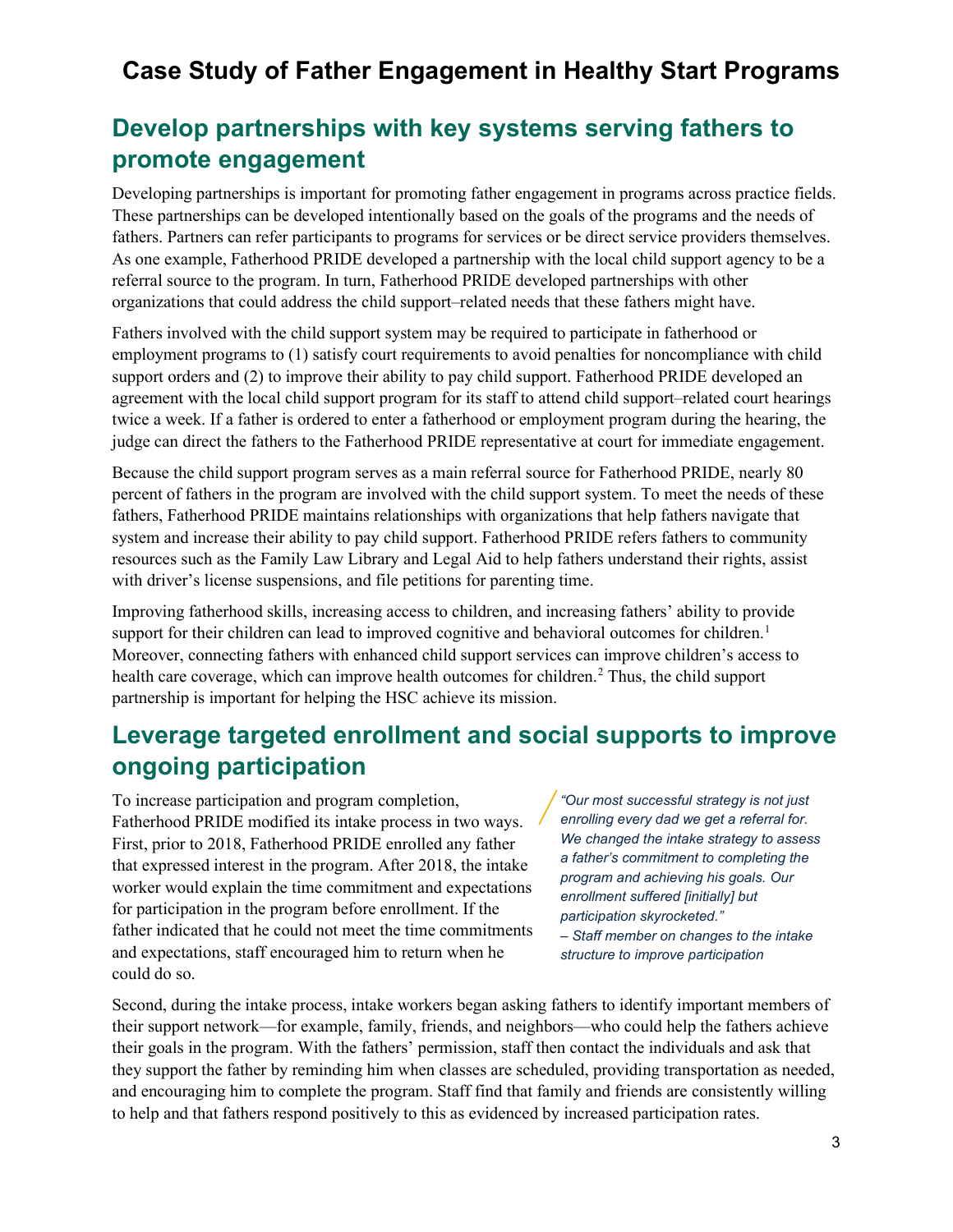### **Develop partnerships with key systems serving fathers to promote engagement**

Developing partnerships is important for promoting father engagement in programs across practice fields. These partnerships can be developed intentionally based on the goals of the programs and the needs of fathers. Partners can refer participants to programs for services or be direct service providers themselves. As one example, Fatherhood PRIDE developed a partnership with the local child support agency to be a referral source to the program. In turn, Fatherhood PRIDE developed partnerships with other organizations that could address the child support–related needs that these fathers might have.

<span id="page-2-0"></span>Fathers involved with the child support system may be required to participate in fatherhood or employment programs to (1) satisfy court requirements to avoid penalties for noncompliance with child support orders and (2) to improve their ability to pay child support. Fatherhood PRIDE developed an agreement with the local child support program for its staff to attend child support–related court hearings twice a week. If a father is ordered to enter a fatherhood or employment program during the hearing, the judge can direct the fathers to the Fatherhood PRIDE representative at court for immediate engagement.

<span id="page-2-1"></span>Because the child support program serves as a main referral source for Fatherhood PRIDE, nearly 80 percent of fathers in the program are involved with the child support system. To meet the needs of these fathers, Fatherhood PRIDE maintains relationships with organizations that help fathers navigate that system and increase their ability to pay child support. Fatherhood PRIDE refers fathers to community resources such as the Family Law Library and Legal Aid to help fathers understand their rights, assist with driver's license suspensions, and file petitions for parenting time.

Improving fatherhood skills, increasing access to children, and increasing fathers' ability to provide support for their children can lead to improved cognitive and behavioral outcomes for children.<sup>[1](#page-2-0)</sup> Moreover, connecting fathers with enhanced child support services can improve children's access to health care coverage, which can improve health outcomes for children.<sup>[2](#page-2-1)</sup> Thus, the child support partnership is important for helping the HSC achieve its mission.

### **Leverage targeted enrollment and social supports to improve ongoing participation**

To increase participation and program completion, Fatherhood PRIDE modified its intake process in two ways. First, prior to 2018, Fatherhood PRIDE enrolled any father that expressed interest in the program. After 2018, the intake worker would explain the time commitment and expectations for participation in the program before enrollment. If the father indicated that he could not meet the time commitments and expectations, staff encouraged him to return when he could do so.

*"Our most successful strategy is not just enrolling every dad we get a referral for. We changed the intake strategy to assess a father's commitment to completing the program and achieving his goals. Our enrollment suffered [initially] but participation skyrocketed."* 

*– Staff member on changes to the intake structure to improve participation*

Second, during the intake process, intake workers began asking fathers to identify important members of their support network—for example, family, friends, and neighbors—who could help the fathers achieve their goals in the program. With the fathers' permission, staff then contact the individuals and ask that they support the father by reminding him when classes are scheduled, providing transportation as needed, and encouraging him to complete the program. Staff find that family and friends are consistently willing to help and that fathers respond positively to this as evidenced by increased participation rates.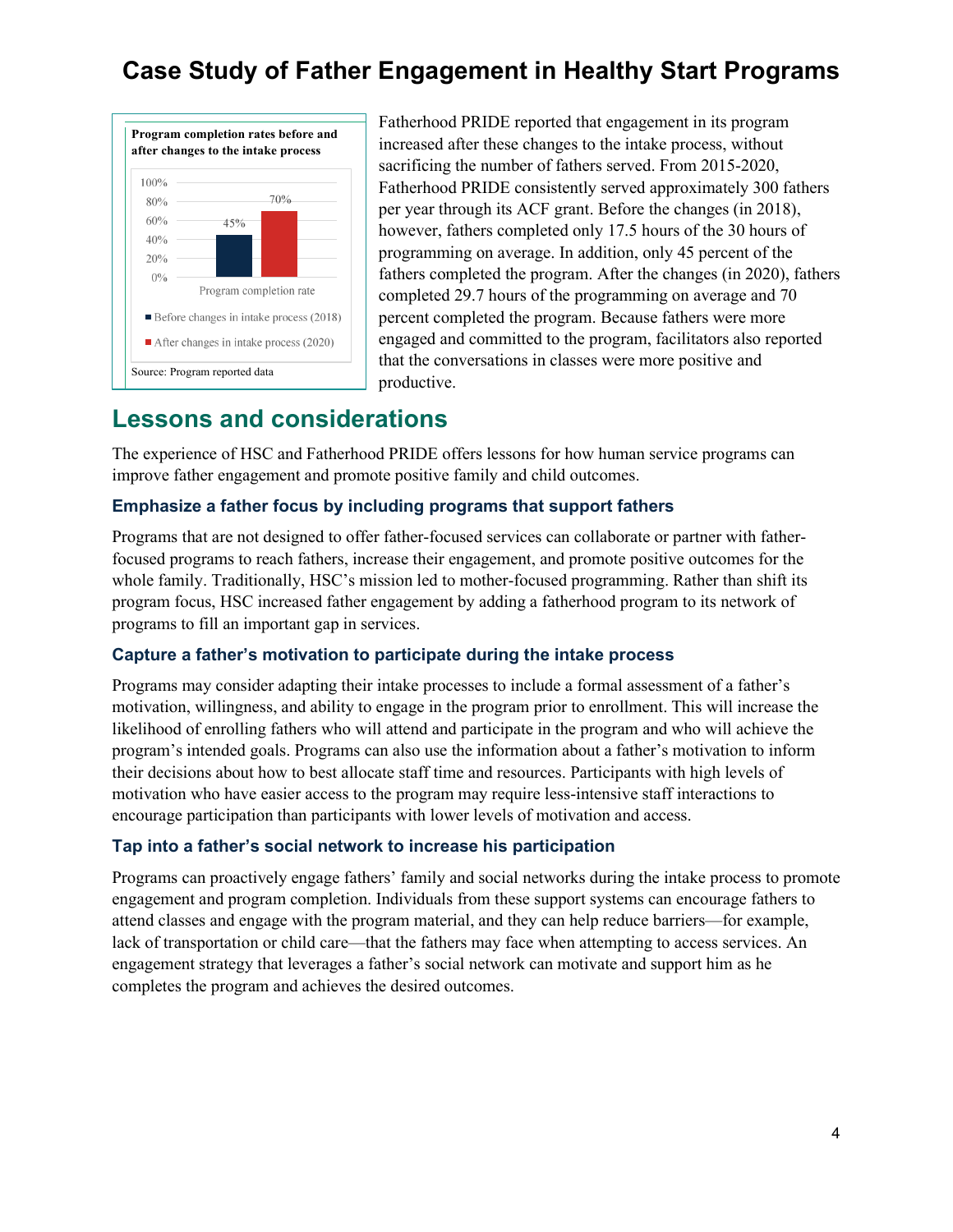

Fatherhood PRIDE reported that engagement in its program increased after these changes to the intake process, without sacrificing the number of fathers served. From 2015-2020, Fatherhood PRIDE consistently served approximately 300 fathers per year through its ACF grant. Before the changes (in 2018), however, fathers completed only 17.5 hours of the 30 hours of programming on average. In addition, only 45 percent of the fathers completed the program. After the changes (in 2020), fathers completed 29.7 hours of the programming on average and 70 percent completed the program. Because fathers were more engaged and committed to the program, facilitators also reported that the conversations in classes were more positive and productive.

#### **Lessons and considerations**

The experience of HSC and Fatherhood PRIDE offers lessons for how human service programs can improve father engagement and promote positive family and child outcomes.

#### **Emphasize a father focus by including programs that support fathers**

Programs that are not designed to offer father-focused services can collaborate or partner with fatherfocused programs to reach fathers, increase their engagement, and promote positive outcomes for the whole family. Traditionally, HSC's mission led to mother-focused programming. Rather than shift its program focus, HSC increased father engagement by adding a fatherhood program to its network of programs to fill an important gap in services.

#### **Capture a father's motivation to participate during the intake process**

Programs may consider adapting their intake processes to include a formal assessment of a father's motivation, willingness, and ability to engage in the program prior to enrollment. This will increase the likelihood of enrolling fathers who will attend and participate in the program and who will achieve the program's intended goals. Programs can also use the information about a father's motivation to inform their decisions about how to best allocate staff time and resources. Participants with high levels of motivation who have easier access to the program may require less-intensive staff interactions to encourage participation than participants with lower levels of motivation and access.

#### **Tap into a father's social network to increase his participation**

Programs can proactively engage fathers' family and social networks during the intake process to promote engagement and program completion. Individuals from these support systems can encourage fathers to attend classes and engage with the program material, and they can help reduce barriers—for example, lack of transportation or child care—that the fathers may face when attempting to access services. An engagement strategy that leverages a father's social network can motivate and support him as he completes the program and achieves the desired outcomes.